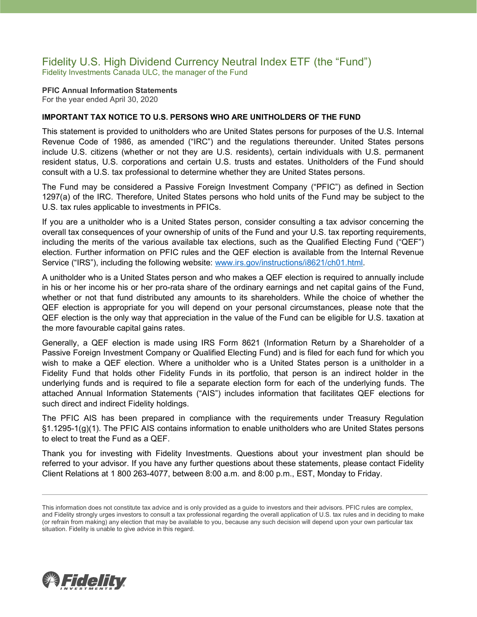## Fidelity U.S. High Dividend Currency Neutral Index ETF (the "Fund") Fidelity Investments Canada ULC, the manager of the Fund

#### **PFIC Annual Information Statements** For the year ended April 30, 2020

### **IMPORTANT TAX NOTICE TO U.S. PERSONS WHO ARE UNITHOLDERS OF THE FUND**

This statement is provided to unitholders who are United States persons for purposes of the U.S. Internal Revenue Code of 1986, as amended ("IRC") and the regulations thereunder. United States persons include U.S. citizens (whether or not they are U.S. residents), certain individuals with U.S. permanent resident status, U.S. corporations and certain U.S. trusts and estates. Unitholders of the Fund should consult with a U.S. tax professional to determine whether they are United States persons.

The Fund may be considered a Passive Foreign Investment Company ("PFIC") as defined in Section 1297(a) of the IRC. Therefore, United States persons who hold units of the Fund may be subject to the U.S. tax rules applicable to investments in PFICs.

If you are a unitholder who is a United States person, consider consulting a tax advisor concerning the overall tax consequences of your ownership of units of the Fund and your U.S. tax reporting requirements, including the merits of the various available tax elections, such as the Qualified Electing Fund ("QEF") election. Further information on PFIC rules and the QEF election is available from the Internal Revenue Service ("IRS"), including the following website: [www.irs.gov/instructions/i8621/ch01.html.](http://www.irs.gov/instructions/i8621/ch01.html)

A unitholder who is a United States person and who makes a QEF election is required to annually include in his or her income his or her pro-rata share of the ordinary earnings and net capital gains of the Fund, whether or not that fund distributed any amounts to its shareholders. While the choice of whether the QEF election is appropriate for you will depend on your personal circumstances, please note that the QEF election is the only way that appreciation in the value of the Fund can be eligible for U.S. taxation at the more favourable capital gains rates.

Generally, a QEF election is made using IRS Form 8621 (Information Return by a Shareholder of a Passive Foreign Investment Company or Qualified Electing Fund) and is filed for each fund for which you wish to make a QEF election. Where a unitholder who is a United States person is a unitholder in a Fidelity Fund that holds other Fidelity Funds in its portfolio, that person is an indirect holder in the underlying funds and is required to file a separate election form for each of the underlying funds. The attached Annual Information Statements ("AIS") includes information that facilitates QEF elections for such direct and indirect Fidelity holdings.

The PFIC AIS has been prepared in compliance with the requirements under Treasury Regulation §1.1295-1(g)(1). The PFIC AIS contains information to enable unitholders who are United States persons to elect to treat the Fund as a QEF.

Thank you for investing with Fidelity Investments. Questions about your investment plan should be referred to your advisor. If you have any further questions about these statements, please contact Fidelity Client Relations at 1 800 263-4077, between 8:00 a.m. and 8:00 p.m., EST, Monday to Friday.



This information does not constitute tax advice and is only provided as a guide to investors and their advisors. PFIC rules are complex, and Fidelity strongly urges investors to consult a tax professional regarding the overall application of U.S. tax rules and in deciding to make (or refrain from making) any election that may be available to you, because any such decision will depend upon your own particular tax situation. Fidelity is unable to give advice in this regard.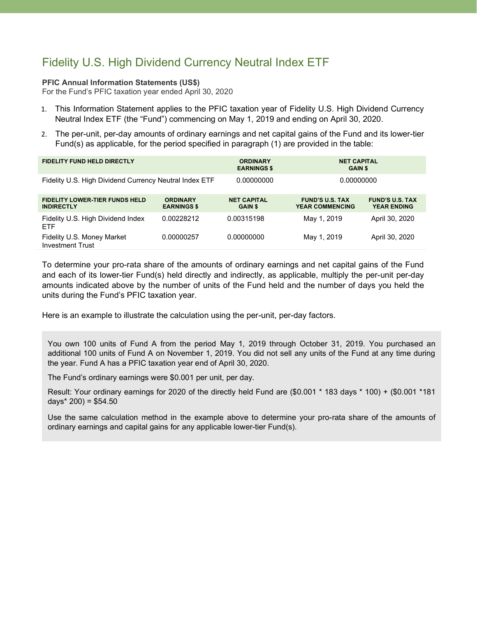# Fidelity U.S. High Dividend Currency Neutral Index ETF

### **PFIC Annual Information Statements (US\$)**

For the Fund's PFIC taxation year ended April 30, 2020

- 1. This Information Statement applies to the PFIC taxation year of Fidelity U.S. High Dividend Currency Neutral Index ETF (the "Fund") commencing on May 1, 2019 and ending on April 30, 2020.
- 2. The per-unit, per-day amounts of ordinary earnings and net capital gains of the Fund and its lower-tier Fund(s) as applicable, for the period specified in paragraph (1) are provided in the table:

| <b>FIDELITY FUND HELD DIRECTLY</b>                         |                                       | <b>ORDINARY</b><br><b>EARNINGS \$</b> | <b>NET CAPITAL</b><br><b>GAIN \$</b>             |                                              |
|------------------------------------------------------------|---------------------------------------|---------------------------------------|--------------------------------------------------|----------------------------------------------|
| Fidelity U.S. High Dividend Currency Neutral Index ETF     |                                       | 0.00000000                            | 0.00000000                                       |                                              |
| <b>FIDELITY LOWER-TIER FUNDS HELD</b><br><b>INDIRECTLY</b> | <b>ORDINARY</b><br><b>EARNINGS \$</b> | <b>NET CAPITAL</b><br><b>GAIN \$</b>  | <b>FUND'S U.S. TAX</b><br><b>YEAR COMMENCING</b> | <b>FUND'S U.S. TAX</b><br><b>YEAR ENDING</b> |
| Fidelity U.S. High Dividend Index<br><b>ETF</b>            | 0.00228212                            | 0.00315198                            | May 1, 2019                                      | April 30, 2020                               |
| Fidelity U.S. Money Market<br><b>Investment Trust</b>      | 0.00000257                            | 0.00000000                            | May 1, 2019                                      | April 30, 2020                               |

To determine your pro-rata share of the amounts of ordinary earnings and net capital gains of the Fund and each of its lower-tier Fund(s) held directly and indirectly, as applicable, multiply the per-unit per-day amounts indicated above by the number of units of the Fund held and the number of days you held the units during the Fund's PFIC taxation year.

Here is an example to illustrate the calculation using the per-unit, per-day factors.

You own 100 units of Fund A from the period May 1, 2019 through October 31, 2019. You purchased an additional 100 units of Fund A on November 1, 2019. You did not sell any units of the Fund at any time during the year. Fund A has a PFIC taxation year end of April 30, 2020.

The Fund's ordinary earnings were \$0.001 per unit, per day.

Result: Your ordinary earnings for 2020 of the directly held Fund are (\$0.001 \* 183 days \* 100) + (\$0.001 \*181 days $*$  200) = \$54.50

Use the same calculation method in the example above to determine your pro-rata share of the amounts of ordinary earnings and capital gains for any applicable lower-tier Fund(s).